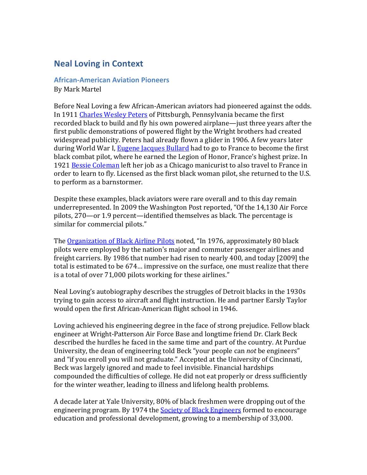## **Neal Loving in Context**

**African-American Aviation Pioneers** By Mark Martel

Before Neal Loving a few African-American aviators had pioneered against the odds. In 1911 Charles Wesley Peters of Pittsburgh, Pennsylvania became the first recorded black to build and fly his own powered airplane—just three years after the first public demonstrations of powered flight by the Wright brothers had created widespread publicity. Peters had already flown a glider in 1906. A few years later during World War I, Eugene Jacques Bullard had to go to France to become the first black combat pilot, where he earned the Legion of Honor, France's highest prize. In 1921 Bessie Coleman left her job as a Chicago manicurist to also travel to France in order to learn to fly. Licensed as the first black woman pilot, she returned to the U.S. to perform as a barnstormer.

Despite these examples, black aviators were rare overall and to this day remain underrepresented. In 2009 the Washington Post reported, "Of the  $14,130$  Air Force pilots,  $270$ —or 1.9 percent—identified themselves as black. The percentage is similar for commercial pilots."

The Organization of Black Airline Pilots noted, "In 1976, approximately 80 black pilots were employed by the nation's major and commuter passenger airlines and freight carriers. By 1986 that number had risen to nearly 400, and today [2009] the total is estimated to be 674... impressive on the surface, one must realize that there is a total of over 71,000 pilots working for these airlines."

Neal Loving's autobiography describes the struggles of Detroit blacks in the 1930s trying to gain access to aircraft and flight instruction. He and partner Earsly Taylor would open the first African-American flight school in 1946.

Loving achieved his engineering degree in the face of strong prejudice. Fellow black engineer at Wright-Patterson Air Force Base and longtime friend Dr. Clark Beck described the hurdles he faced in the same time and part of the country. At Purdue University, the dean of engineering told Beck "your people can *not* be engineers" and "if you enroll you will not graduate." Accepted at the University of Cincinnati, Beck was largely ignored and made to feel invisible. Financial hardships compounded the difficulties of college. He did not eat properly or dress sufficiently for the winter weather, leading to illness and lifelong health problems.

A decade later at Yale University, 80% of black freshmen were dropping out of the engineering program. By 1974 the Society of Black Engineers formed to encourage education and professional development, growing to a membership of 33,000.